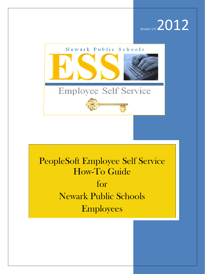



# PeopleSoft Employee Self Service How-To Guide for Newark Public Schools Employees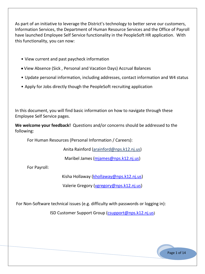As part of an initiative to leverage the District's technology to better serve our customers, Information Services, the Department of Human Resource Services and the Office of Payroll have launched Employee Self Service functionality in the PeopleSoft HR application. With this functionality, you can now:

- View current and past paycheck information
- View Absence (Sick , Personal and Vacation Days) Accrual Balances
- Update personal information, including addresses, contact information and W4 status
- Apply for Jobs directly though the PeopleSoft recruiting application

In this document, you will find basic information on how to navigate through these Employee Self Service pages.

**We welcome your feedback!** Questions and/or concerns should be addressed to the following:

For Human Resources (Personal Information / Careers):

Anita Rainford (arainford@nps.k12.nj.us)

Maribel James [\(mjames@nps.k12.nj.us\)](mailto:mjames@nps.k12.nj.us)

For Payroll:

Kisha Hollaway [\(khollaway@nps.k12.nj.us\)](mailto:khollaway@nps.k12.nj.us)

Valerie Gregory [\(vgregory@nps.k12.nj.us\)](mailto:vgregory@nps.k12.nj.us)

For Non-Software technical issues (e.g. difficulty with passwords or logging in):

ISD Customer Support Group (csupport@nps.k12.nj.us)

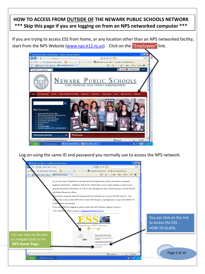### **HOW TO ACCESS FROM OUTSIDE OF THE NEWARK PUBLIC SCHOOLS NETWORK \*\*\* Skip this page if you are logging on from an NPS networked computer \*\*\***

If you are trying to access ESS from home, or any location other than an NPS networked facility, start from the NPS Website [\(www.nps.k12.nj.us\)](http://www.nps.k12.nj.us/). Click on the "Employees" link.



Log on using the same ID and password you normally use to access the NPS network.

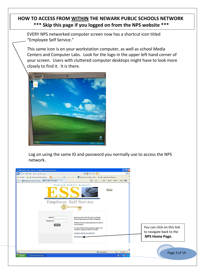## **HOW TO ACCESS FROM WITHIN THE NEWARK PUBLIC SCHOOLS NETWORK \*\*\* Skip this page if you logged on from the NPS website \*\*\***

EVERY NPS networked computer screen now has a shortcut icon titled "Employee Self Service."

This same icon is on your workstation computer, as well as school Media Centers and Computer Labs. Look for the logo in the upper left hand corner of your screen. Users with cluttered computer desktops might have to look more closely to find it. It is there.



Log on using the same ID and password you normally use to access the NPS network.

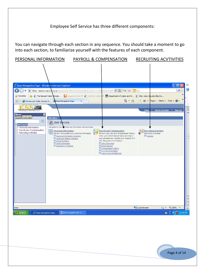#### Employee Self Service has three different components:

You can navigate through each section in any sequence. You should take a moment to go into each section, to familiarize yourself with the features of each component.

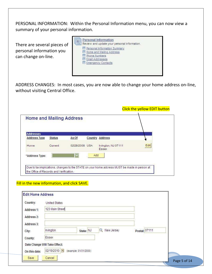PERSONAL INFORMATION: Within the Personal Information menu, you can now view a summary of your personal information.

There are several pieces of personal information you can change on-line.

| Personal Information<br>Review and update your personal information.<br>三                                                                       |  |
|-------------------------------------------------------------------------------------------------------------------------------------------------|--|
| <b>E Personal Information Summary</b><br><b>E</b> Home and Mailing Address<br><b>Phone Numbers</b><br>E Email Addresses<br>E Emergency Contacts |  |

ADDRESS CHANGES: In most cases, you are now able to change your home address on-line, without visiting Central Office.

|                                 |               |                |     |                              | <b>Click the yellow EDIT button</b> |
|---------------------------------|---------------|----------------|-----|------------------------------|-------------------------------------|
| <b>Home and Mailing Address</b> |               |                |     |                              |                                     |
| <b>Addresses</b>                |               |                |     |                              |                                     |
| <b>Address Type</b>             | <b>Status</b> | As Of          |     | Country Address              |                                     |
| Home.                           | Current       | 02/28/2008 USA |     | Irvington, NJ 07111<br>Essex | Edit                                |
| *Address Type:                  |               |                | Add |                              |                                     |

#### Fill in the new information, and click SAVE.

| <b>Edit Home Address</b> |                               |                       |                        |               |              |
|--------------------------|-------------------------------|-----------------------|------------------------|---------------|--------------|
| Country:                 | <b>United States</b>          |                       |                        |               |              |
| Address 1:               | 123 Main Street               |                       |                        |               |              |
| Address 2:               |                               |                       |                        |               |              |
| Address 3:               |                               |                       |                        |               |              |
| City:                    | Irvington                     | State: NJ             | New Jersey<br>$\alpha$ | Postal: 07111 |              |
| County:                  | Essex                         |                       |                        |               |              |
|                          | Date Change Will Take Effect: |                       |                        |               |              |
| On this date:            | 02/19/2010                    | (example: 01/31/2000) |                        |               |              |
| Save                     | Cancel                        |                       |                        |               | Page 5 of 14 |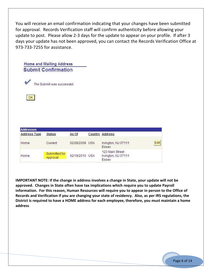You will receive an email confirmation indicating that your changes have been submitted for approval. Records Verification staff will confirm authenticity before allowing your update to post. Please allow 2-3 days for the update to appear on your profile. If after 3 days your update has not been approved, you can contact the Records Verification Office at 973-733-7255 for assistance.

| <b>Submit Confirmation</b> |  |
|----------------------------|--|
| The Submit was successful. |  |

 $OK$ 

| <b>Addresses</b>    |                                        |                |  |                                                 |      |  |
|---------------------|----------------------------------------|----------------|--|-------------------------------------------------|------|--|
| <b>Address Type</b> | <b>Status</b>                          | As Of          |  | Country Address                                 |      |  |
| Home<br>992999788   | Current<br><b>Common Common Common</b> | 02/28/2008 USA |  | Irvington, NJ 07111<br>Essex                    | Edit |  |
| Home                | Submitted for<br>Approval              | 02/19/2010 USA |  | 123 Main Street<br>Irvington, NJ 07111<br>Essex |      |  |

**IMPORTANT NOTE: If the change in address involves a change in State, your update will not be approved. Changes in State often have tax implications which require you to update Payroll information. For this reason, Human Resources will require you to appear in person to the Office of Records and Verification if you are changing your state of residency. Also, as per IRS regulations, the District is required to have a HOME address for each employee, therefore, you must maintain a home address**.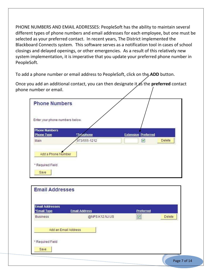PHONE NUMBERS AND EMAIL ADDRESSES: PeopleSoft has the ability to maintain several different types of phone numbers and email addresses for each employee, but one must be selected as your preferred contact. In recent years, The District implemented the Blackboard Connects system. This software serves as a notification tool in cases of school closings and delayed openings, or other emergencies. As a result of this relatively new system implementation, it is imperative that you update your preferred phone number in PeopleSoft.

To add a phone number or email address to PeopleSoft, click on the **ADD** button.

Once you add an additional contact, you can then designate it as the **preferred** contact phone number or email.

| <b>Phone Numbers</b>                      |              |                            |        |
|-------------------------------------------|--------------|----------------------------|--------|
| Enter your phone numbers below.           |              |                            |        |
| <b>Phone Numbers</b><br><b>Phone Type</b> | *Telephone   | <b>Extension Preferred</b> |        |
| Main                                      | 973/555-1212 | $\blacktriangledown$       | Delete |

| <b>Email Addresses</b><br>*Email Type | <b>Email Address</b> | Preferred       |        |
|---------------------------------------|----------------------|-----------------|--------|
| <b>Business</b>                       | @NPS.K12.NJ.US       | $\boxed{\circ}$ | Delete |
|                                       |                      |                 |        |
| Add an Email Address                  |                      |                 |        |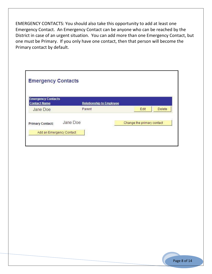EMERGENCY CONTACTS: You should also take this opportunity to add at least one Emergency Contact. An Emergency Contact can be anyone who can be reached by the District in case of an urgent situation. You can add more than one Emergency Contact, but one must be Primary. If you only have one contact, then that person will become the Primary contact by default.

| <b>Emergency Contacts</b>                        |                                 |                            |
|--------------------------------------------------|---------------------------------|----------------------------|
|                                                  |                                 |                            |
| <b>Emergency Contacts</b><br><b>Contact Name</b> | <b>Relationship to Employee</b> |                            |
| Jane Doe                                         | Parent                          | Delete<br>Edit             |
| <b>Primary Contact:</b>                          | Jane Doe                        | Change the primary contact |
|                                                  | Add an Emergency Contact        |                            |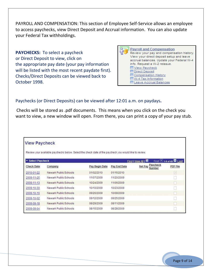PAYROLL AND COMPENSATION: This section of Employee Self-Service allows an employee to access paychecks, view Direct Deposit and Accrual information. You can also update your Federal Tax withholdings.

**PAYCHECKS:** To select a paycheck or Direct Deposit to view, click on the appropriate pay date (your pay information will be listed with the most recent paydate first). Checks/Direct Deposits can be viewed back to October 1998.

| <b>Payroll and Compensation</b><br>Review your pay and compensation history. |
|------------------------------------------------------------------------------|
|                                                                              |
| View your direct deposit setup and leave                                     |
| accrual balances. Update your Federal W-4                                    |
| info. Request a W-2 reissue.                                                 |
| <b>E</b> View Paycheck                                                       |
| <b>国</b> Direct Deposit                                                      |
| <b>El Compensation History</b>                                               |
| 回W-4 Tax Information                                                         |
| <b>El Leave Accrual Balances</b>                                             |

#### Paychecks (or Direct Deposits) can be viewed after 12:01 a.m. on paydays**.**

Checks will be stored as .pdf documents. This means when you click on the check you want to view, a new window will open. From there, you can print a copy of your pay stub.

| <b>View Paycheck</b>                   | Review your available paychecks below. Select the check date of the paycheck you would like to review. |                |              |                               |                                                    |
|----------------------------------------|--------------------------------------------------------------------------------------------------------|----------------|--------------|-------------------------------|----------------------------------------------------|
| <b>Select Paycheck</b><br>$\checkmark$ |                                                                                                        |                |              | Find   View All   THE         | First $\overline{4}$ 1-8 of 49 $\overline{2}$ Last |
| <b>Check Date</b>                      | Company                                                                                                | Pay Begin Date | Pay End Date | Paycheck<br>Net Pay<br>Number | <b>PDF File</b>                                    |
| 2010-01-22                             | Newark Public Schools                                                                                  | 01/02/2010     | 01/15/2010   |                               | V.                                                 |
| 2009-11-25                             | Newark Public Schools                                                                                  | 11/07/2009     | 11/20/2009   |                               |                                                    |
| 2009-11-13                             | Newark Public Schools                                                                                  | 10/24/2009     | 11/06/2009   |                               |                                                    |
| 2009-10-30                             | Newark Public Schools                                                                                  | 10/10/2009     | 10/23/2009   |                               |                                                    |
| 2009-10-16                             | Newark Public Schools                                                                                  | 09/26/2009     | 10/09/2009   |                               |                                                    |
| 2009-10-02                             | Newark Public Schools                                                                                  | 09/12/2009     | 09/25/2009   |                               |                                                    |
| 2009-09-18                             | Newark Public Schools                                                                                  | 08/29/2009     | 09/11/2009   |                               |                                                    |
| 2009-09-04                             | Newark Public Schools                                                                                  | 08/15/2009     | 08/28/2009   |                               |                                                    |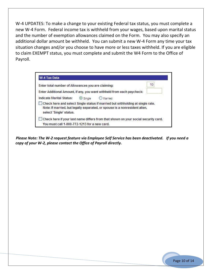W-4 UPDATES: To make a change to your existing Federal tax status, you must complete a new W-4 Form. Federal income tax is withheld from your wages, based upon marital status and the number of exemption allowances claimed on the Form. You may also specify an additional dollar amount be withheld. You can submit a new W-4 Form any time your tax situation changes and/or you choose to have more or less taxes withheld. If you are eligible to claim EXEMPT status, you must complete and submit the W4 Form to the Office of Payroll.

|                          |                | Enter total number of Allowances you are claiming:                                                                                                           | 10 |
|--------------------------|----------------|--------------------------------------------------------------------------------------------------------------------------------------------------------------|----|
|                          |                | Enter Additional Amount, if any, you want withheld from each paycheck:                                                                                       |    |
| Indicate Marital Status: | $\odot$ Single | Married                                                                                                                                                      |    |
| select 'Single' status.  |                | Check here and select Single status if married but withholding at single rate.<br>Note: If married, but legally separated, or spouse is a nonresident alien, |    |

*Please Note: The W-2 request feature via Employee Self Service has been deactivated. If you need a copy of your W-2, please contact the Office of Payroll directly.*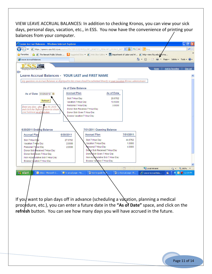VIEW LEAVE ACCRUAL BALANCES: In addition to checking Kronos, you can view your sick days, personal days, vacation, etc., in ESS. You now have the convenience of printing your balances from your computer.

| $\epsilon$ Leave Accrual Balances - Windows Internet Explorer                                                                                                      |                                                               |                                            |                     |                      | la                                                                                                       |
|--------------------------------------------------------------------------------------------------------------------------------------------------------------------|---------------------------------------------------------------|--------------------------------------------|---------------------|----------------------|----------------------------------------------------------------------------------------------------------|
| https://npsssvc.nps.k12.nj.us/psp/ess/SELFSERVICE/HRMS/c/NPS_BENEFITS_MENU.NPS_KRONOS_INTF  v  4  ++  X  OBing                                                     |                                                               |                                            |                     |                      | - م                                                                                                      |
| <b>B</b> The Newark Public Schools  Is Suggested Sites . (2) Web Slice Gallery . som Department of Labor and W 2 http-view.fdu.edu-files-tra<br><b>P</b> Favorites |                                                               |                                            |                     |                      |                                                                                                          |
| Leave Accrual Balances                                                                                                                                             |                                                               |                                            |                     |                      | ✿ ▼ 同 ▽ □ 臝 ▼ Page ▼ Safety ▼ Tools ▼ @ ▼                                                                |
|                                                                                                                                                                    |                                                               |                                            |                     |                      |                                                                                                          |
| Employee Self Service<br>o I                                                                                                                                       |                                                               |                                            |                     | Home                 | <b>Add to Favorites</b><br>Sign out                                                                      |
| <b>Leave Accrual Balances - YOUR LAST and FIRST NAME</b>                                                                                                           |                                                               |                                            |                     |                      |                                                                                                          |
| Any questions on Accrual Balances as displayed in this screen should be submitted directly to your Location Kronos administrator.                                  |                                                               |                                            |                     |                      |                                                                                                          |
|                                                                                                                                                                    | <b>As of Date Balance</b>                                     |                                            |                     |                      |                                                                                                          |
| As of Date 03/29/2012   闭                                                                                                                                          | <b>Accrual Plan</b>                                           |                                            | As of Date          |                      |                                                                                                          |
|                                                                                                                                                                    | Sick 7 Hour Day                                               |                                            | 28.6762             |                      |                                                                                                          |
| Refresh                                                                                                                                                            | Vacation 7 Hour Dav                                           |                                            | 10.5000             |                      |                                                                                                          |
| Enter any date - after June 30, 2010                                                                                                                               | Personal 7 Hour Day                                           |                                            | 3.0000              |                      |                                                                                                          |
| and click the 'Refresh' button to obtain<br>your balances <u>as of that date</u> .                                                                                 | Donor Sick Received 7 Hour Day<br>Donor Sick Given 7 Hour Day |                                            |                     |                      |                                                                                                          |
|                                                                                                                                                                    | Excess Vacation 7 Hour Day                                    |                                            |                     |                      |                                                                                                          |
|                                                                                                                                                                    |                                                               |                                            |                     |                      |                                                                                                          |
|                                                                                                                                                                    |                                                               |                                            |                     |                      |                                                                                                          |
| 6/30/2011 Ending Balance                                                                                                                                           |                                                               | 7/01/2011 Opening Balance                  |                     |                      |                                                                                                          |
| <b>Accrual Plan</b>                                                                                                                                                | 6/30/2011                                                     | <b>Accrual Plan</b>                        | 7/01/2011           |                      |                                                                                                          |
| Sick 7 Hour Day                                                                                                                                                    | 27.6762                                                       | Sick 7 Hour Day                            | 44.6762             |                      |                                                                                                          |
| Vacation 7 Hour Day                                                                                                                                                | 2.0000                                                        | Vacation 7 Hour Day<br>Personal 7 Hour Day | 1.0000<br>4.0000    |                      |                                                                                                          |
| Personal 7 Hour Day<br>Donor Sick Received 7 Hour Day                                                                                                              | 2.0000                                                        | Donor Sick Received 7 Hour Day             |                     |                      |                                                                                                          |
| Donor Sick Given 7 Hour Day                                                                                                                                        |                                                               | Donor Sick Given 7 Hour Day                |                     |                      |                                                                                                          |
| Non Accumulative Sick 7 Hour Day                                                                                                                                   |                                                               | Non Accumulative Sick 7 Hour Day           |                     |                      |                                                                                                          |
| Excess Vacation 7 Hour Day                                                                                                                                         |                                                               | Excess Vacation 7 Hour Day                 |                     |                      |                                                                                                          |
|                                                                                                                                                                    |                                                               |                                            |                     |                      |                                                                                                          |
|                                                                                                                                                                    |                                                               |                                            | E.                  | Local intranet       | $\frac{1}{20}$ + $\frac{1}{2}$ 100% +                                                                    |
| start<br>C Inbox - Microsoft O                                                                                                                                     | No iv acrual page - Me                                        | how to guide Psoft                         | Ly Accrual page - M | E Leave Accrual Bala | 日 二<br>$\left(\left.\right\langle \right.\right)$ $\left[\right\langle \right]$ $\left[\right]$ 12:09 PM |
|                                                                                                                                                                    |                                                               |                                            |                     |                      |                                                                                                          |

If you want to plan days off in advance (scheduling a vacation, planning a medical procedure, etc.), you can enter a future date in the "As of Date" space, and click on the **refresh** button. You can see how many days you will have accrued in the future.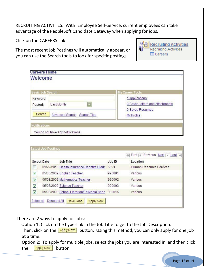RECRUITING ACTIVITIES: With Employee Self-Service, current employees can take advantage of the PeopleSoft Candidate Gateway when applying for jobs.

Click on the CAREERS link.

The most recent Job Postings will automatically appear, or you can use the Search tools to look for specific postings.



| <b>Careers Home</b><br>Welcome |                                       |                                                   |
|--------------------------------|---------------------------------------|---------------------------------------------------|
| <b>Basic Job Search</b>        |                                       | <b>My Career Tools</b>                            |
| Keyword:<br>Posted:            | Last Month<br>$\overline{\mathbf{v}}$ | 1 Applications<br>0 Cover Letters and Attachments |
| Search                         | <b>Advanced Search Search Tips</b>    | 0 Saved Resumes<br>My Profile                     |
| Notifications                  |                                       |                                                   |
|                                | You do not have any notifications.    |                                                   |

|                      | <b>Select Date</b> | <b>Job Title</b>                           | Job ID | Location                |
|----------------------|--------------------|--------------------------------------------|--------|-------------------------|
|                      |                    | 01/22/2010 Health Insurance Benefits Clerk | 6821   | Human Resource Services |
| V                    |                    | 05/03/2009 English Teacher                 | 990001 | Various                 |
| $\vee$               |                    | 05/03/2009 Mathematics Teacher             | 990002 | Various                 |
| $\blacktriangledown$ |                    | 05/03/2009 Science Teacher                 | 990003 | Various                 |
| $\vee$               |                    | 05/03/2009 School Librarian/Ed Media Spec  | 990016 | Various                 |

There are 2 ways to apply for Jobs:

Option 1: Click on the hyperlink in the Job Title to get to the Job Description.

Then, click on the **DPP LANGE DUBB** button. Using this method, you can only apply for one job at a time.

Option 2: To apply for multiple jobs, select the jobs you are interested in, and then click the **Apprilow** button.